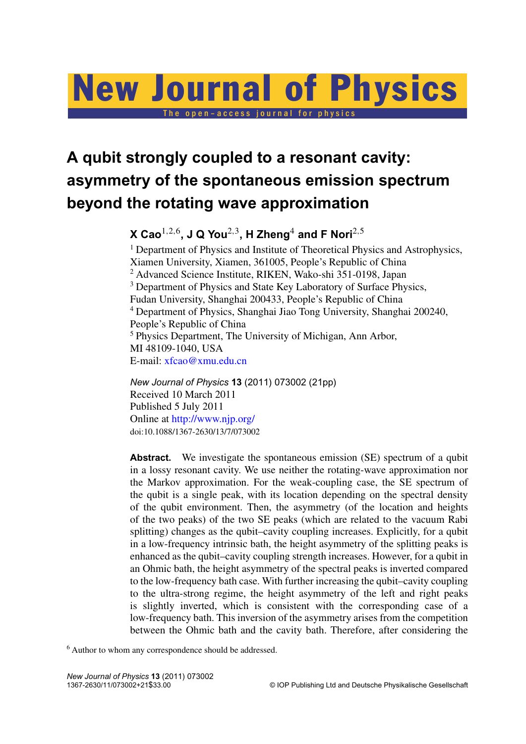# New Journal of Physics

The open-access journal for physic

## **A qubit strongly coupled to a resonant cavity: asymmetry of the spontaneous emission spectrum beyond the rotating wave approximation**

**X Cao**1,2,<sup>6</sup> **, J Q You**2,<sup>3</sup> **, H Zheng**<sup>4</sup> **and F Nori**2,<sup>5</sup>

<sup>1</sup> Department of Physics and Institute of Theoretical Physics and Astrophysics, Xiamen University, Xiamen, 361005, People's Republic of China <sup>2</sup> Advanced Science Institute, RIKEN, Wako-shi 351-0198, Japan <sup>3</sup> Department of Physics and State Key Laboratory of Surface Physics, Fudan University, Shanghai 200433, People's Republic of China <sup>4</sup> Department of Physics, Shanghai Jiao Tong University, Shanghai 200240, People's Republic of China <sup>5</sup> Physics Department, The University of Michigan, Ann Arbor, MI 48109-1040, USA E-mail: [xfcao@xmu.edu.cn](mailto:xfcao@xmu.edu.cn)

*New Journal of Physics* **13** (2011) 073002 (21pp) Received 10 March 2011 Published 5 July 2011 Online at <http://www.njp.org/> doi:10.1088/1367-2630/13/7/073002

**Abstract.** We investigate the spontaneous emission (SE) spectrum of a qubit in a lossy resonant cavity. We use neither the rotating-wave approximation nor the Markov approximation. For the weak-coupling case, the SE spectrum of the qubit is a single peak, with its location depending on the spectral density of the qubit environment. Then, the asymmetry (of the location and heights of the two peaks) of the two SE peaks (which are related to the vacuum Rabi splitting) changes as the qubit–cavity coupling increases. Explicitly, for a qubit in a low-frequency intrinsic bath, the height asymmetry of the splitting peaks is enhanced as the qubit–cavity coupling strength increases. However, for a qubit in an Ohmic bath, the height asymmetry of the spectral peaks is inverted compared to the low-frequency bath case. With further increasing the qubit–cavity coupling to the ultra-strong regime, the height asymmetry of the left and right peaks is slightly inverted, which is consistent with the corresponding case of a low-frequency bath. This inversion of the asymmetry arises from the competition between the Ohmic bath and the cavity bath. Therefore, after considering the

<sup>6</sup> Author to whom any correspondence should be addressed.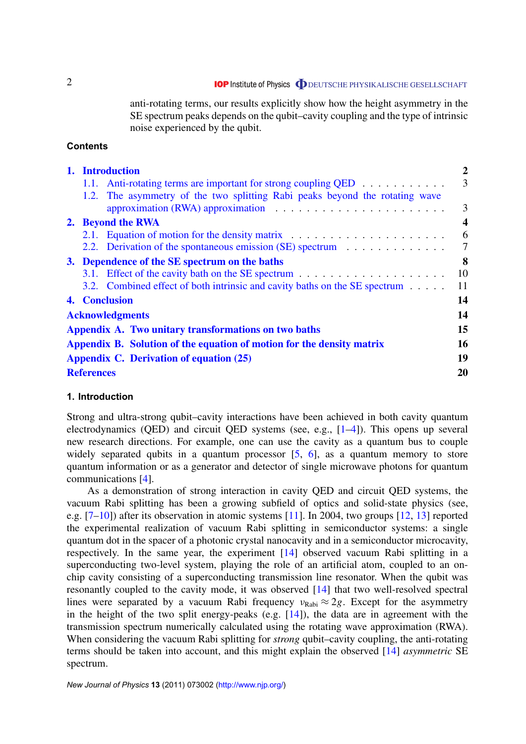anti-rotating terms, our results explicitly show how the height asymmetry in the SE spectrum peaks depends on the qubit–cavity coupling and the type of intrinsic noise experienced by the qubit.

#### **Contents**

| 1. Introduction                                                                                                                                                     | $\overline{2}$          |  |  |  |  |
|---------------------------------------------------------------------------------------------------------------------------------------------------------------------|-------------------------|--|--|--|--|
|                                                                                                                                                                     | $\overline{3}$          |  |  |  |  |
| 1.2. The asymmetry of the two splitting Rabi peaks beyond the rotating wave<br>approximation (RWA) approximation $\ldots \ldots \ldots \ldots \ldots \ldots \ldots$ | $\overline{3}$          |  |  |  |  |
| 2. Beyond the RWA                                                                                                                                                   | $\overline{\mathbf{4}}$ |  |  |  |  |
|                                                                                                                                                                     | 6                       |  |  |  |  |
| 2.2. Derivation of the spontaneous emission (SE) spectrum $\ldots \ldots \ldots \ldots$                                                                             | $\overline{7}$          |  |  |  |  |
| 3. Dependence of the SE spectrum on the baths                                                                                                                       |                         |  |  |  |  |
|                                                                                                                                                                     | 10                      |  |  |  |  |
| 3.2. Combined effect of both intrinsic and cavity baths on the SE spectrum                                                                                          | 11                      |  |  |  |  |
| 14<br>4. Conclusion                                                                                                                                                 |                         |  |  |  |  |
| <b>Acknowledgments</b>                                                                                                                                              | 14                      |  |  |  |  |
| Appendix A. Two unitary transformations on two baths                                                                                                                | 15                      |  |  |  |  |
| Appendix B. Solution of the equation of motion for the density matrix                                                                                               | 16                      |  |  |  |  |
| Appendix C. Derivation of equation (25)                                                                                                                             |                         |  |  |  |  |
| <b>References</b>                                                                                                                                                   | 20                      |  |  |  |  |

#### **1. Introduction**

Strong and ultra-strong qubit–cavity interactions have been achieved in both cavity quantum electrodynamics (QED) and circuit QED systems (see, e.g., [\[1–4\]](#page-19-0)). This opens up several new research directions. For example, one can use the cavity as a quantum bus to couple widely separated qubits in a quantum processor [\[5,](#page-19-0) [6\]](#page-19-0), as a quantum memory to store quantum information or as a generator and detector of single microwave photons for quantum communications [\[4\]](#page-19-0).

As a demonstration of strong interaction in cavity QED and circuit QED systems, the vacuum Rabi splitting has been a growing subfield of optics and solid-state physics (see, e.g.  $[7-10]$ ) after its observation in atomic systems  $[11]$ . In 2004, two groups  $[12, 13]$  $[12, 13]$  $[12, 13]$  reported the experimental realization of vacuum Rabi splitting in semiconductor systems: a single quantum dot in the spacer of a photonic crystal nanocavity and in a semiconductor microcavity, respectively. In the same year, the experiment [\[14\]](#page-19-0) observed vacuum Rabi splitting in a superconducting two-level system, playing the role of an artificial atom, coupled to an onchip cavity consisting of a superconducting transmission line resonator. When the qubit was resonantly coupled to the cavity mode, it was observed [\[14\]](#page-19-0) that two well-resolved spectral lines were separated by a vacuum Rabi frequency  $v_{Rabi} \approx 2g$ . Except for the asymmetry in the height of the two split energy-peaks (e.g.  $[14]$ ), the data are in agreement with the transmission spectrum numerically calculated using the rotating wave approximation (RWA). When considering the vacuum Rabi splitting for *strong* qubit–cavity coupling, the anti-rotating terms should be taken into account, and this might explain the observed [\[14\]](#page-19-0) *asymmetric* SE spectrum.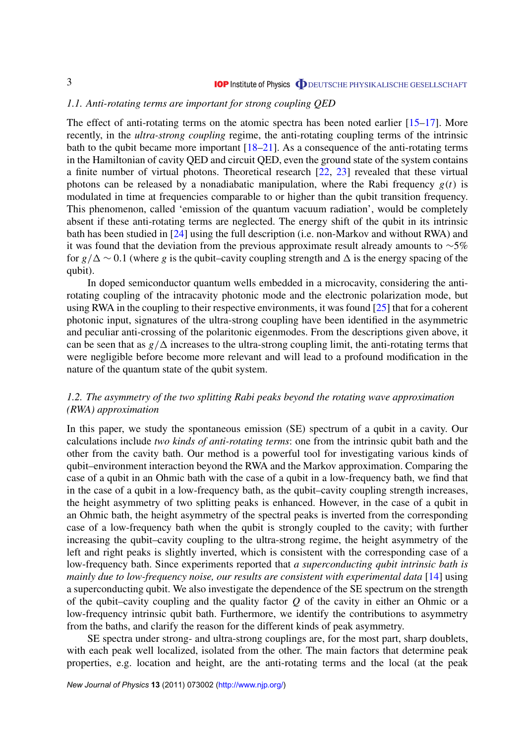#### <span id="page-2-0"></span>*1.1. Anti-rotating terms are important for strong coupling QED*

The effect of anti-rotating terms on the atomic spectra has been noted earlier [\[15–17\]](#page-19-0). More recently, in the *ultra-strong coupling* regime, the anti-rotating coupling terms of the intrinsic bath to the qubit became more important  $[18–21]$ . As a consequence of the anti-rotating terms in the Hamiltonian of cavity QED and circuit QED, even the ground state of the system contains a finite number of virtual photons. Theoretical research [\[22,](#page-19-0) [23\]](#page-19-0) revealed that these virtual photons can be released by a nonadiabatic manipulation, where the Rabi frequency  $g(t)$  is modulated in time at frequencies comparable to or higher than the qubit transition frequency. This phenomenon, called 'emission of the quantum vacuum radiation', would be completely absent if these anti-rotating terms are neglected. The energy shift of the qubit in its intrinsic bath has been studied in [\[24\]](#page-19-0) using the full description (i.e. non-Markov and without RWA) and it was found that the deviation from the previous approximate result already amounts to ∼5% for  $g/\Delta \sim 0.1$  (where *g* is the qubit–cavity coupling strength and  $\Delta$  is the energy spacing of the qubit).

In doped semiconductor quantum wells embedded in a microcavity, considering the antirotating coupling of the intracavity photonic mode and the electronic polarization mode, but using RWA in the coupling to their respective environments, it was found  $[25]$  that for a coherent photonic input, signatures of the ultra-strong coupling have been identified in the asymmetric and peculiar anti-crossing of the polaritonic eigenmodes. From the descriptions given above, it can be seen that as  $g/\Delta$  increases to the ultra-strong coupling limit, the anti-rotating terms that were negligible before become more relevant and will lead to a profound modification in the nature of the quantum state of the qubit system.

#### *1.2. The asymmetry of the two splitting Rabi peaks beyond the rotating wave approximation (RWA) approximation*

In this paper, we study the spontaneous emission (SE) spectrum of a qubit in a cavity. Our calculations include *two kinds of anti-rotating terms*: one from the intrinsic qubit bath and the other from the cavity bath. Our method is a powerful tool for investigating various kinds of qubit–environment interaction beyond the RWA and the Markov approximation. Comparing the case of a qubit in an Ohmic bath with the case of a qubit in a low-frequency bath, we find that in the case of a qubit in a low-frequency bath, as the qubit–cavity coupling strength increases, the height asymmetry of two splitting peaks is enhanced. However, in the case of a qubit in an Ohmic bath, the height asymmetry of the spectral peaks is inverted from the corresponding case of a low-frequency bath when the qubit is strongly coupled to the cavity; with further increasing the qubit–cavity coupling to the ultra-strong regime, the height asymmetry of the left and right peaks is slightly inverted, which is consistent with the corresponding case of a low-frequency bath. Since experiments reported that *a superconducting qubit intrinsic bath is mainly due to low-frequency noise, our results are consistent with experimental data* [\[14\]](#page-19-0) using a superconducting qubit. We also investigate the dependence of the SE spectrum on the strength of the qubit–cavity coupling and the quality factor *Q* of the cavity in either an Ohmic or a low-frequency intrinsic qubit bath. Furthermore, we identify the contributions to asymmetry from the baths, and clarify the reason for the different kinds of peak asymmetry.

SE spectra under strong- and ultra-strong couplings are, for the most part, sharp doublets, with each peak well localized, isolated from the other. The main factors that determine peak properties, e.g. location and height, are the anti-rotating terms and the local (at the peak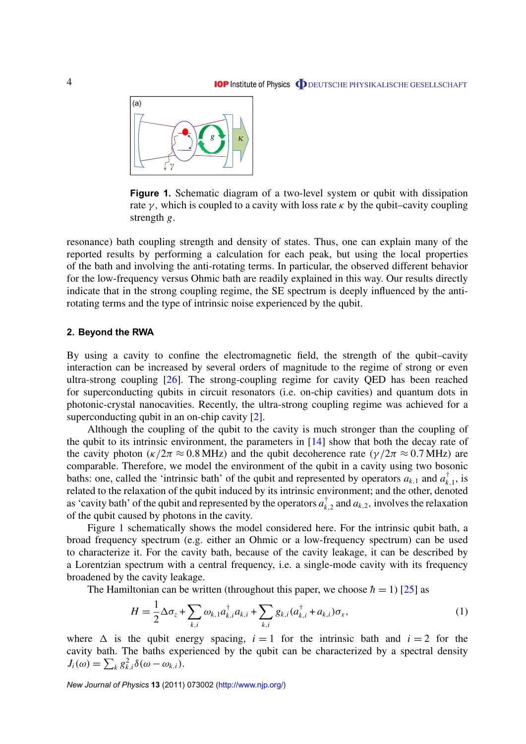<span id="page-3-0"></span>

**Figure 1.** Schematic diagram of a two-level system or qubit with dissipation rate  $\gamma$ , which is coupled to a cavity with loss rate  $\kappa$  by the qubit–cavity coupling strength *g*.

resonance) bath coupling strength and density of states. Thus, one can explain many of the reported results by performing a calculation for each peak, but using the local properties of the bath and involving the anti-rotating terms. In particular, the observed different behavior for the low-frequency versus Ohmic bath are readily explained in this way. Our results directly indicate that in the strong coupling regime, the SE spectrum is deeply influenced by the antirotating terms and the type of intrinsic noise experienced by the qubit.

#### **2. Beyond the RWA**

By using a cavity to confine the electromagnetic field, the strength of the qubit–cavity interaction can be increased by several orders of magnitude to the regime of strong or even ultra-strong coupling [\[26\]](#page-19-0). The strong-coupling regime for cavity QED has been reached for superconducting qubits in circuit resonators (i.e. on-chip cavities) and quantum dots in photonic-crystal nanocavities. Recently, the ultra-strong coupling regime was achieved for a superconducting qubit in an on-chip cavity [\[2\]](#page-19-0).

Although the coupling of the qubit to the cavity is much stronger than the coupling of the qubit to its intrinsic environment, the parameters in  $[14]$  show that both the decay rate of the cavity photon ( $\kappa/2\pi \approx 0.8 \text{ MHz}$ ) and the qubit decoherence rate ( $\gamma/2\pi \approx 0.7 \text{ MHz}$ ) are comparable. Therefore, we model the environment of the qubit in a cavity using two bosonic baths: one, called the 'intrinsic bath' of the qubit and represented by operators  $a_{k,1}$  and  $a_k^{\dagger}$  $\boldsymbol{h}_{k,1}^{\dagger}$ , is related to the relaxation of the qubit induced by its intrinsic environment; and the other, denoted as 'cavity bath' of the qubit and represented by the operators  $a_k^{\dagger}$  $a_{k,2}$  and  $a_{k,2}$ , involves the relaxation of the qubit caused by photons in the cavity.

Figure 1 schematically shows the model considered here. For the intrinsic qubit bath, a broad frequency spectrum (e.g. either an Ohmic or a low-frequency spectrum) can be used to characterize it. For the cavity bath, because of the cavity leakage, it can be described by a Lorentzian spectrum with a central frequency, i.e. a single-mode cavity with its frequency broadened by the cavity leakage.

The Hamiltonian can be written (throughout this paper, we choose  $\hbar = 1$ ) [\[25\]](#page-19-0) as

$$
H = \frac{1}{2}\Delta\sigma_z + \sum_{k,i}\omega_{k,1}a_{k,i}^\dagger a_{k,i} + \sum_{k,i}g_{k,i}(a_{k,i}^\dagger + a_{k,i})\sigma_x,\tag{1}
$$

where  $\Delta$  is the qubit energy spacing,  $i = 1$  for the intrinsic bath and  $i = 2$  for the cavity bath. The baths experienced by the qubit can be characterized by a spectral density  $J_i(\omega) = \sum_k g_{k,i}^2 \delta(\omega - \omega_{k,i}).$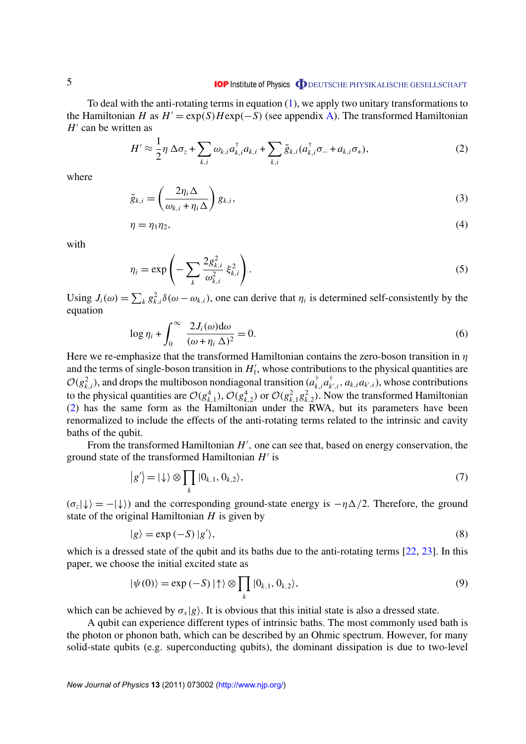#### **IOP** Institute of Physics **ODEUTSCHE PHYSIKALISCHE GESELLSCHAFT**

<span id="page-4-0"></span>To deal with the anti-rotating terms in equation [\(1\)](#page-3-0), we apply two unitary transformations to the Hamiltonian *H* as  $H' = \exp(S)H\exp(-S)$  (see appendix [A\)](#page-14-0). The transformed Hamiltonian  $H'$  can be written as

$$
H' \approx \frac{1}{2} \eta \Delta \sigma_z + \sum_{k,i} \omega_{k,i} a_{k,i}^\dagger a_{k,i} + \sum_{k,i} \tilde{g}_{k,i} (a_{k,i}^\dagger \sigma_z + a_{k,i} \sigma_z), \tag{2}
$$

where

$$
\tilde{g}_{k,i} = \left(\frac{2\eta_i \Delta}{\omega_{k,i} + \eta_i \Delta}\right) g_{k,i},\tag{3}
$$

$$
\eta = \eta_1 \eta_2,\tag{4}
$$

with

$$
\eta_i = \exp\left(-\sum_k \frac{2g_{k,i}^2}{\omega_{k,i}^2} \xi_{k,i}^2\right).
$$
\n<sup>(5)</sup>

Using  $J_i(\omega) = \sum_k g_{k,i}^2 \delta(\omega - \omega_{k,i})$ , one can derive that  $\eta_i$  is determined self-consistently by the equation

$$
\log \eta_i + \int_0^\infty \frac{2J_i(\omega)d\omega}{(\omega + \eta_i \Delta)^2} = 0.
$$
\n(6)

Here we re-emphasize that the transformed Hamiltonian contains the zero-boson transition in  $\eta$ and the terms of single-boson transition in  $H_1'$  $\mathbf{I}'_1$ , whose contributions to the physical quantities are  $\mathcal{O}(g_{k,i}^2)$ , and drops the multiboson nondiagonal transition ( $a_k^{\dagger}$  $\vec{a}_k^{\dagger}$ , $a_k^{\dagger}$  $\bar{k}$ <sup>*k*</sup>,*i*</sub>, *a*<sub>*k*,*i*</sub>*a*<sub>*k*<sup>*i*</sup>,*i*</sub>), whose contributions to the physical quantities are  $\mathcal{O}(g_{k,1}^4)$ ,  $\mathcal{O}(g_{k,2}^4)$  or  $\mathcal{O}(g_{k,1}^2g_{k,2}^2)$ . Now the transformed Hamiltonian (2) has the same form as the Hamiltonian under the RWA, but its parameters have been renormalized to include the effects of the anti-rotating terms related to the intrinsic and cavity baths of the qubit.

From the transformed Hamiltonian  $H'$ , one can see that, based on energy conservation, the ground state of the transformed Hamiltonian  $H'$  is

$$
|g'\rangle = |\downarrow\rangle \otimes \prod_k |0_{k,1}, 0_{k,2}\rangle, \tag{7}
$$

 $(\sigma_z|\downarrow\rangle = -|\downarrow\rangle)$  and the corresponding ground-state energy is  $-\eta\Delta/2$ . Therefore, the ground state of the original Hamiltonian *H* is given by

$$
|g\rangle = \exp(-S) |g'\rangle, \tag{8}
$$

which is a dressed state of the qubit and its baths due to the anti-rotating terms [\[22,](#page-19-0) [23\]](#page-19-0). In this paper, we choose the initial excited state as

$$
|\psi(0)\rangle = \exp(-S) \left|\uparrow\right\rangle \otimes \prod_{k} |0_{k,1}, 0_{k,2}\rangle, \tag{9}
$$

which can be achieved by  $\sigma_x|g\rangle$ . It is obvious that this initial state is also a dressed state.

A qubit can experience different types of intrinsic baths. The most commonly used bath is the photon or phonon bath, which can be described by an Ohmic spectrum. However, for many solid-state qubits (e.g. superconducting qubits), the dominant dissipation is due to two-level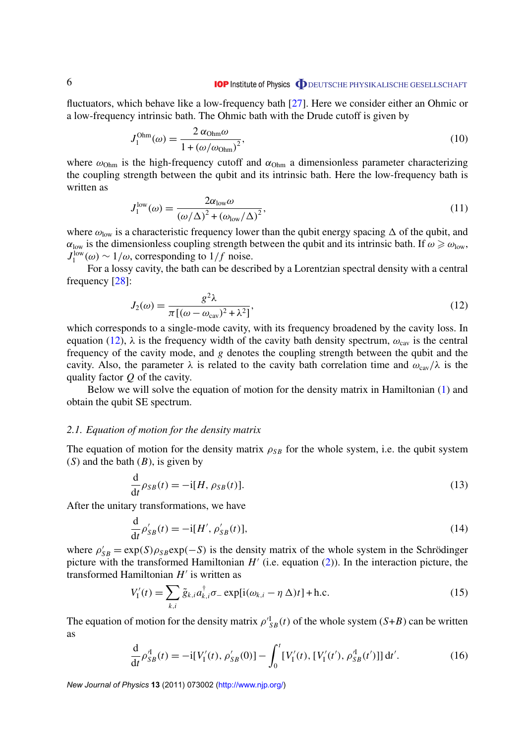<span id="page-5-0"></span>fluctuators, which behave like a low-frequency bath [\[27\]](#page-19-0). Here we consider either an Ohmic or a low-frequency intrinsic bath. The Ohmic bath with the Drude cutoff is given by

$$
J_1^{\text{Ohm}}(\omega) = \frac{2 \alpha_{\text{Ohm}} \omega}{1 + (\omega/\omega_{\text{Ohm}})^2},\tag{10}
$$

where  $\omega_{\text{Ohm}}$  is the high-frequency cutoff and  $\alpha_{\text{Ohm}}$  a dimensionless parameter characterizing the coupling strength between the qubit and its intrinsic bath. Here the low-frequency bath is written as

$$
J_1^{\text{low}}(\omega) = \frac{2\alpha_{\text{low}}\omega}{\left(\omega/\Delta\right)^2 + \left(\omega_{\text{low}}/\Delta\right)^2},\tag{11}
$$

where  $\omega_{\text{low}}$  is a characteristic frequency lower than the qubit energy spacing  $\Delta$  of the qubit, and  $\alpha_{\text{low}}$  is the dimensionless coupling strength between the qubit and its intrinsic bath. If  $\omega \geq \omega_{\text{low}}$ ,  $J_1^{\text{low}}(\omega) \sim 1/\omega$ , corresponding to  $1/f$  noise.

For a lossy cavity, the bath can be described by a Lorentzian spectral density with a central frequency [\[28\]](#page-19-0):

$$
J_2(\omega) = \frac{g^2 \lambda}{\pi [(\omega - \omega_{\text{cav}})^2 + \lambda^2]},
$$
\n(12)

which corresponds to a single-mode cavity, with its frequency broadened by the cavity loss. In equation (12),  $\lambda$  is the frequency width of the cavity bath density spectrum,  $\omega_{\text{cav}}$  is the central frequency of the cavity mode, and *g* denotes the coupling strength between the qubit and the cavity. Also, the parameter  $\lambda$  is related to the cavity bath correlation time and  $\omega_{\rm cav}/\lambda$  is the quality factor *Q* of the cavity.

Below we will solve the equation of motion for the density matrix in Hamiltonian [\(1\)](#page-3-0) and obtain the qubit SE spectrum.

#### *2.1. Equation of motion for the density matrix*

The equation of motion for the density matrix  $\rho_{SB}$  for the whole system, i.e. the qubit system (*S*) and the bath (*B*), is given by

$$
\frac{\mathrm{d}}{\mathrm{d}t}\rho_{SB}(t) = -\mathrm{i}[H, \rho_{SB}(t)].\tag{13}
$$

After the unitary transformations, we have

$$
\frac{\mathrm{d}}{\mathrm{d}t} \rho'_{SB}(t) = -\mathrm{i}[H', \rho'_{SB}(t)],\tag{14}
$$

where  $\rho'_{SB} = \exp(S)\rho_{SB} \exp(-S)$  is the density matrix of the whole system in the Schrödinger picture with the transformed Hamiltonian *H'* (i.e. equation [\(2\)](#page-4-0)). In the interaction picture, the transformed Hamiltonian H' is written as

$$
V'_{\mathcal{I}}(t) = \sum_{k,i} \tilde{g}_{k,i} a_{k,i}^{\dagger} \sigma_{-} \exp[i(\omega_{k,i} - \eta \Delta)t] + \text{h.c.}
$$
\n(15)

The equation of motion for the density matrix  $\rho_{SB}^{I}(t)$  of the whole system (*S*+*B*) can be written as

$$
\frac{d}{dt}\rho_{SB}^{I}(t) = -i[V'_{I}(t), \rho'_{SB}(0)] - \int_{0}^{t} [V'_{I}(t), [V'_{I}(t'), \rho_{SB}^{I}(t')]] dt'.
$$
\n(16)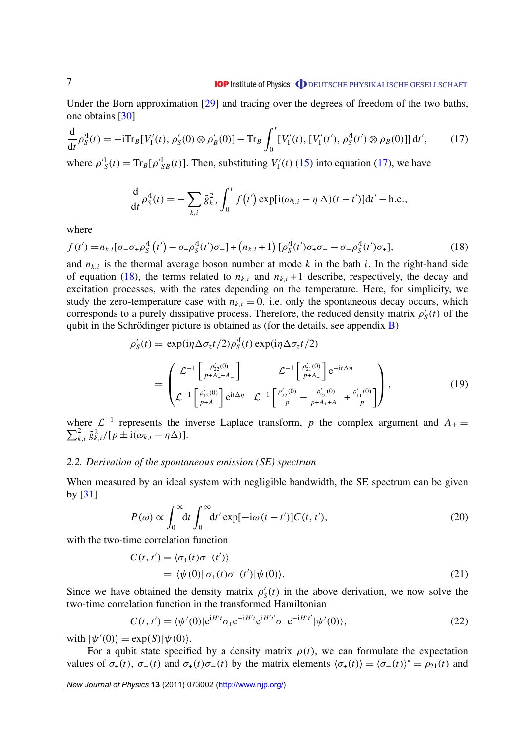<span id="page-6-0"></span>Under the Born approximation [\[29\]](#page-19-0) and tracing over the degrees of freedom of the two baths, one obtains [\[30\]](#page-19-0)

$$
\frac{d}{dt}\rho_S^A(t) = -i\text{Tr}_B[V'_1(t), \rho'_S(0) \otimes \rho'_B(0)] - \text{Tr}_B \int_0^t [V'_1(t), [V'_1(t'), \rho_S^A(t') \otimes \rho_B(0)]] dt', \qquad (17)
$$

where  $\rho_S^{\prime I}(t) = \text{Tr}_B[\rho_{SB}^{\prime I}(t)]$ . Then, substituting  $V_I^{\prime}$  $I_I''(t)$  [\(15\)](#page-5-0) into equation (17), we have

$$
\frac{\mathrm{d}}{\mathrm{d}t}\rho_{S}^{A}(t)=-\sum_{k,i}\tilde{g}_{k,i}^{2}\int_{0}^{t}f(t')\exp[i(\omega_{k,i}-\eta\,\Delta)(t-t')]dt'-\text{h.c.},
$$

where

$$
f(t') = n_{k,i} [\sigma_- \sigma_+ \rho_S^{A}(t') - \sigma_+ \rho_S^{A}(t') \sigma_-] + (n_{k,i} + 1) [\rho_S^{A}(t') \sigma_+ \sigma_- - \sigma_- \rho_S^{A}(t') \sigma_+], \qquad (18)
$$

and  $n_{k,i}$  is the thermal average boson number at mode  $k$  in the bath  $i$ . In the right-hand side of equation (18), the terms related to  $n_{k,i}$  and  $n_{k,i} + 1$  describe, respectively, the decay and excitation processes, with the rates depending on the temperature. Here, for simplicity, we study the zero-temperature case with  $n_{k,i} = 0$ , i.e. only the spontaneous decay occurs, which corresponds to a purely dissipative process. Therefore, the reduced density matrix  $\rho'$  $S_{\rm S}'(t)$  of the qubit in the Schrödinger picture is obtained as (for the details, see appendix [B\)](#page-15-0)

$$
\rho'_{S}(t) = \exp(i\eta \Delta \sigma_{z} t/2) \rho''_{S}(t) \exp(i\eta \Delta \sigma_{z} t/2)
$$
\n
$$
= \begin{pmatrix}\n\mathcal{L}^{-1} \left[ \frac{\rho'_{22}(0)}{p+A_{+}+A_{-}} \right] & \mathcal{L}^{-1} \left[ \frac{\rho'_{21}(0)}{p+A_{+}} \right] e^{-it\Delta \eta} \\
\mathcal{L}^{-1} \left[ \frac{\rho'_{12}(0)}{p+A_{-}} \right] e^{it\Delta \eta} & \mathcal{L}^{-1} \left[ \frac{\rho'_{22}(0)}{p} - \frac{\rho'_{22}(0)}{p+A_{+}+A_{-}} + \frac{\rho'_{11}(0)}{p} \right]\n\end{pmatrix},
$$
\n(19)

where  $\mathcal{L}^{-1}$  represents the inverse Laplace transform, p the complex argument and  $A_{\pm}$  $\sum_k^2$  $\sum_{k,i}^{2} \tilde{g}_{k,i}^{2} / [p \pm i(\omega_{k,i} - \eta \Delta)].$ 

#### *2.2. Derivation of the spontaneous emission (SE) spectrum*

When measured by an ideal system with negligible bandwidth, the SE spectrum can be given by  $\lceil 31 \rceil$ 

$$
P(\omega) \propto \int_0^\infty dt \int_0^\infty dt' \exp[-i\omega(t - t')] C(t, t'), \tag{20}
$$

with the two-time correlation function

$$
C(t, t') = \langle \sigma_+(t)\sigma_-(t') \rangle
$$
  
=  $\langle \psi(0) | \sigma_+(t)\sigma_-(t') | \psi(0) \rangle.$  (21)

Since we have obtained the density matrix  $\rho'$  $S(t)$  in the above derivation, we now solve the two-time correlation function in the transformed Hamiltonian

$$
C(t, t') = \langle \psi'(0) | e^{iH't} \sigma_+ e^{-iH't} e^{iH't'} \sigma_- e^{-iH't'} | \psi'(0) \rangle, \tag{22}
$$

with  $|\psi'(0)\rangle = \exp(S)|\psi(0)\rangle$ .

For a qubit state specified by a density matrix  $\rho(t)$ , we can formulate the expectation values of  $\sigma_{+}(t)$ ,  $\sigma_{-}(t)$  and  $\sigma_{+}(t)\sigma_{-}(t)$  by the matrix elements  $\langle \sigma_{+}(t) \rangle = \langle \sigma_{-}(t) \rangle^* = \rho_{21}(t)$  and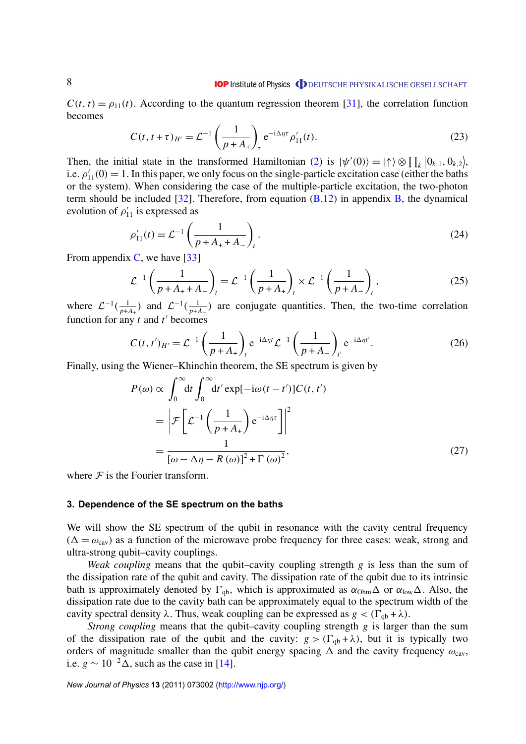#### **IOP** Institute of Physics **ODEUTSCHE PHYSIKALISCHE GESELLSCHAFT**

<span id="page-7-0"></span> $C(t, t) = \rho_{11}(t)$ . According to the quantum regression theorem [\[31\]](#page-19-0), the correlation function becomes

$$
C(t, t + \tau)_{H'} = \mathcal{L}^{-1} \left( \frac{1}{p + A_{+}} \right)_{\tau} e^{-i \Delta \eta \tau} \rho'_{11}(t).
$$
 (23)

Then, the initial state in the transformed Hamiltonian [\(2\)](#page-4-0) is  $|\psi'(0)\rangle = |\uparrow\rangle \otimes \prod_k |0_{k,1}, 0_{k,2}|$ , i.e.  $\rho'_{11}(0) = 1$ . In this paper, we only focus on the single-particle excitation case (either the baths or the system). When considering the case of the multiple-particle excitation, the two-photon term should be included  $[32]$ . Therefore, from equation  $(B.12)$  in appendix [B,](#page-15-0) the dynamical evolution of  $\rho'_{11}$  is expressed as

$$
\rho'_{11}(t) = \mathcal{L}^{-1} \left( \frac{1}{p + A_+ + A_-} \right)_t.
$$
\n(24)

From appendix  $C$ , we have [\[33\]](#page-20-0)

$$
\mathcal{L}^{-1}\left(\frac{1}{p+A_{+}+A_{-}}\right)_{t} = \mathcal{L}^{-1}\left(\frac{1}{p+A_{+}}\right)_{t} \times \mathcal{L}^{-1}\left(\frac{1}{p+A_{-}}\right)_{t},
$$
\n(25)

where  $\mathcal{L}^{-1}(\frac{1}{n+1})$  $\frac{1}{p+A_{+}}$ ) and  $\mathcal{L}^{-1}(\frac{1}{p+A_{+}})$  $\frac{1}{p+A_{-}}$ ) are conjugate quantities. Then, the two-time correlation function for any  $t$  and  $t'$  becomes

$$
C(t, t')_{H'} = \mathcal{L}^{-1} \left( \frac{1}{p + A_{+}} \right)_{t} e^{-i \Delta \eta t} \mathcal{L}^{-1} \left( \frac{1}{p + A_{-}} \right)_{t'} e^{-i \Delta \eta t'}.
$$
 (26)

Finally, using the Wiener–Khinchin theorem, the SE spectrum is given by

$$
P(\omega) \propto \int_0^\infty dt \int_0^\infty dt' \exp[-i\omega(t - t')] C(t, t')
$$
  
= 
$$
\left| \mathcal{F} \left[ \mathcal{L}^{-1} \left( \frac{1}{p + A_+} \right) e^{-i\Delta \eta \tau} \right] \right|^2
$$
  
= 
$$
\frac{1}{[\omega - \Delta \eta - R(\omega)]^2 + \Gamma(\omega)^2},
$$
(27)

where  $\mathcal F$  is the Fourier transform.

#### **3. Dependence of the SE spectrum on the baths**

We will show the SE spectrum of the qubit in resonance with the cavity central frequency  $(\Delta = \omega_{\text{cav}})$  as a function of the microwave probe frequency for three cases: weak, strong and ultra-strong qubit–cavity couplings.

*Weak coupling* means that the qubit–cavity coupling strength *g* is less than the sum of the dissipation rate of the qubit and cavity. The dissipation rate of the qubit due to its intrinsic bath is approximately denoted by  $\Gamma_{\rm qb}$ , which is approximated as  $\alpha_{\rm Ohm}\Delta$  or  $\alpha_{\rm low}\Delta$ . Also, the dissipation rate due to the cavity bath can be approximately equal to the spectrum width of the cavity spectral density  $\lambda$ . Thus, weak coupling can be expressed as  $g < (\Gamma_{ab} + \lambda)$ .

*Strong coupling* means that the qubit–cavity coupling strength *g* is larger than the sum of the dissipation rate of the qubit and the cavity:  $g > (\Gamma_{qb} + \lambda)$ , but it is typically two orders of magnitude smaller than the qubit energy spacing  $\Delta$  and the cavity frequency  $\omega_{\text{cav}}$ , i.e.  $g \sim 10^{-2} \Delta$ , such as the case in [\[14\]](#page-19-0).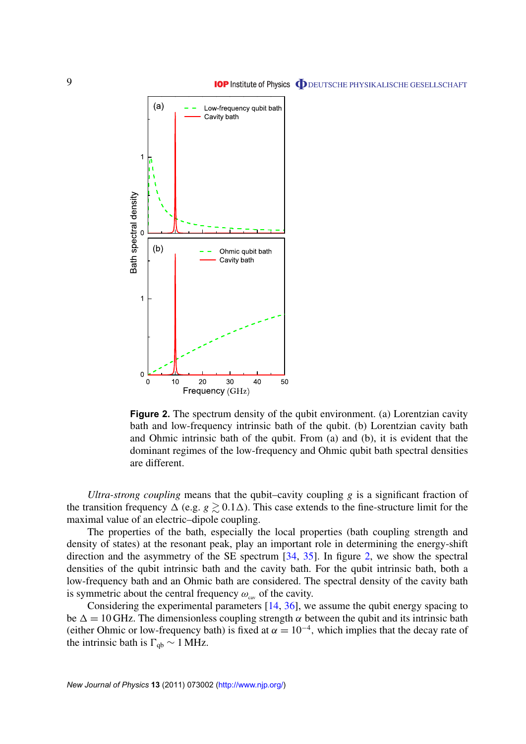<span id="page-8-0"></span>

**Figure 2.** The spectrum density of the qubit environment. (a) Lorentzian cavity bath and low-frequency intrinsic bath of the qubit. (b) Lorentzian cavity bath and Ohmic intrinsic bath of the qubit. From (a) and (b), it is evident that the dominant regimes of the low-frequency and Ohmic qubit bath spectral densities are different.

*Ultra-strong coupling* means that the qubit–cavity coupling *g* is a significant fraction of the transition frequency  $\Delta$  (e.g.  $g \gtrsim 0.1\Delta$ ). This case extends to the fine-structure limit for the maximal value of an electric–dipole coupling.

The properties of the bath, especially the local properties (bath coupling strength and density of states) at the resonant peak, play an important role in determining the energy-shift direction and the asymmetry of the SE spectrum [\[34,](#page-20-0) [35\]](#page-20-0). In figure 2, we show the spectral densities of the qubit intrinsic bath and the cavity bath. For the qubit intrinsic bath, both a low-frequency bath and an Ohmic bath are considered. The spectral density of the cavity bath is symmetric about the central frequency  $\omega_{\text{cav}}$  of the cavity.

Considering the experimental parameters [\[14,](#page-19-0) [36\]](#page-20-0), we assume the qubit energy spacing to be  $\Delta = 10$  GHz. The dimensionless coupling strength  $\alpha$  between the qubit and its intrinsic bath (either Ohmic or low-frequency bath) is fixed at  $\alpha = 10^{-4}$ , which implies that the decay rate of the intrinsic bath is  $\Gamma_{\rm qb} \sim 1$  MHz.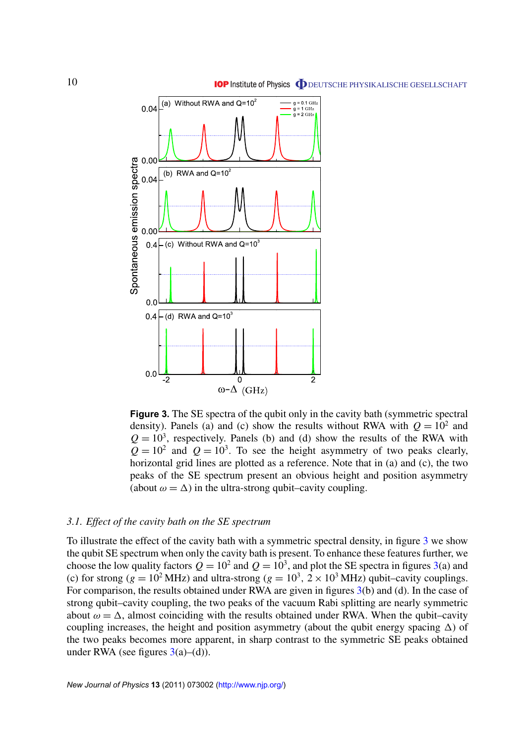<span id="page-9-0"></span>

**Figure 3.** The SE spectra of the qubit only in the cavity bath (symmetric spectral density). Panels (a) and (c) show the results without RWA with  $Q = 10^2$  and  $Q = 10<sup>3</sup>$ , respectively. Panels (b) and (d) show the results of the RWA with  $Q = 10^2$  and  $Q = 10^3$ . To see the height asymmetry of two peaks clearly, horizontal grid lines are plotted as a reference. Note that in (a) and (c), the two peaks of the SE spectrum present an obvious height and position asymmetry (about  $\omega = \Delta$ ) in the ultra-strong qubit–cavity coupling.

#### *3.1. Effect of the cavity bath on the SE spectrum*

To illustrate the effect of the cavity bath with a symmetric spectral density, in figure 3 we show the qubit SE spectrum when only the cavity bath is present. To enhance these features further, we choose the low quality factors  $Q = 10^2$  and  $Q = 10^3$ , and plot the SE spectra in figures 3(a) and (c) for strong ( $g = 10^2$  MHz) and ultra-strong ( $g = 10^3$ ,  $2 \times 10^3$  MHz) qubit–cavity couplings. For comparison, the results obtained under RWA are given in figures 3(b) and (d). In the case of strong qubit–cavity coupling, the two peaks of the vacuum Rabi splitting are nearly symmetric about  $\omega = \Delta$ , almost coinciding with the results obtained under RWA. When the qubit–cavity coupling increases, the height and position asymmetry (about the qubit energy spacing  $\Delta$ ) of the two peaks becomes more apparent, in sharp contrast to the symmetric SE peaks obtained under RWA (see figures  $3(a)$ –(d)).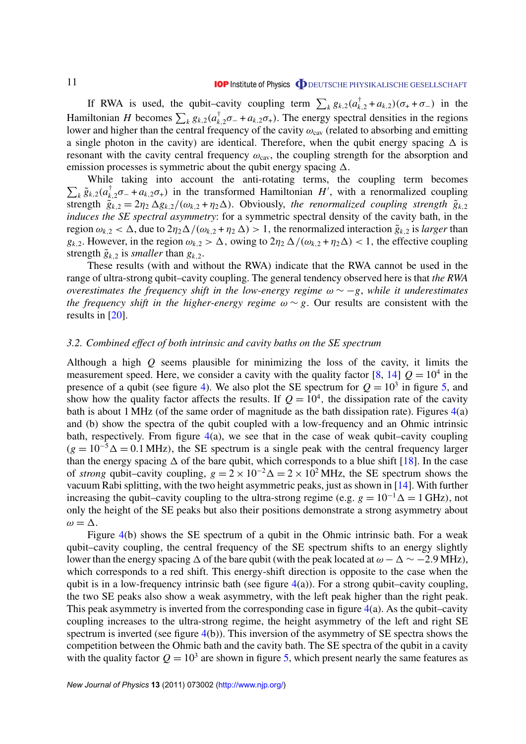<span id="page-10-0"></span>If RWA is used, the qubit–cavity coupling term  $\sum_k g_{k,2}(a_{k,2}^\dagger + a_{k,2})(\sigma_+ + \sigma_-)$  in the Hamiltonian *H* becomes  $\sum_k g_{k,2}(a_k^{\dagger})$  $\int_{k,2}^{\tau} \sigma_{-} + a_{k,2} \sigma_{+}$ ). The energy spectral densities in the regions lower and higher than the central frequency of the cavity  $\omega_{\rm cav}$  (related to absorbing and emitting a single photon in the cavity) are identical. Therefore, when the qubit energy spacing  $\Delta$  is resonant with the cavity central frequency  $\omega_{\rm cav}$ , the coupling strength for the absorption and emission processes is symmetric about the qubit energy spacing  $\Delta$ .

 $\sum_k \tilde{g}_{k,2}(a_k^{\dagger})$ While taking into account the anti-rotating terms, the coupling term becomes  $\bar{k}_{12}^{\dagger}\sigma_{-} + a_{k,2}\sigma_{+}$ ) in the transformed Hamiltonian *H*', with a renormalized coupling strength  $\tilde{g}_{k,2} = 2\eta_2 \Delta g_{k,2}/(\omega_{k,2} + \eta_2 \Delta)$ . Obviously, the renormalized coupling strength  $\tilde{g}_{k,2}$ *induces the SE spectral asymmetry*: for a symmetric spectral density of the cavity bath, in the region  $\omega_{k,2} < \Delta$ , due to  $2\eta_2\Delta/(\omega_{k,2} + \eta_2\Delta) > 1$ , the renormalized interaction  $\tilde{g}_{k,2}$  is *larger* than  $g_{k,2}$ . However, in the region  $\omega_{k,2} > \Delta$ , owing to  $2\eta_2 \Delta/(\omega_{k,2} + \eta_2 \Delta) < 1$ , the effective coupling strength  $\tilde{g}_{k,2}$  is *smaller* than  $g_{k,2}$ .

These results (with and without the RWA) indicate that the RWA cannot be used in the range of ultra-strong qubit–cavity coupling. The general tendency observed here is that *the RWA overestimates the frequency shift in the low-energy regime* ω ∼ −*g*, *while it underestimates the frequency shift in the higher-energy regime*  $\omega \sim g$ . Our results are consistent with the results in [\[20\]](#page-19-0).

#### *3.2. Combined effect of both intrinsic and cavity baths on the SE spectrum*

Although a high *Q* seems plausible for minimizing the loss of the cavity, it limits the measurement speed. Here, we consider a cavity with the quality factor  $[8, 14]$  $[8, 14]$  $[8, 14]$   $Q = 10<sup>4</sup>$  in the presence of a qubit (see figure [4\)](#page-11-0). We also plot the SE spectrum for  $Q = 10^3$  in figure [5,](#page-12-0) and show how the quality factor affects the results. If  $Q = 10^4$ , the dissipation rate of the cavity bath is about 1 MHz (of the same order of magnitude as the bath dissipation rate). Figures  $4(a)$  $4(a)$ and (b) show the spectra of the qubit coupled with a low-frequency and an Ohmic intrinsic bath, respectively. From figure  $4(a)$  $4(a)$ , we see that in the case of weak qubit–cavity coupling  $(g = 10^{-5} \Delta = 0.1$  MHz), the SE spectrum is a single peak with the central frequency larger than the energy spacing  $\Delta$  of the bare qubit, which corresponds to a blue shift [\[18\]](#page-19-0). In the case of *strong* qubit–cavity coupling,  $g = 2 \times 10^{-2} \Delta = 2 \times 10^{2}$  MHz, the SE spectrum shows the vacuum Rabi splitting, with the two height asymmetric peaks, just as shown in [\[14\]](#page-19-0). With further increasing the qubit–cavity coupling to the ultra-strong regime (e.g.  $g = 10^{-1} \Delta = 1$  GHz), not only the height of the SE peaks but also their positions demonstrate a strong asymmetry about  $\omega = \Delta$ .

Figure [4\(](#page-11-0)b) shows the SE spectrum of a qubit in the Ohmic intrinsic bath. For a weak qubit–cavity coupling, the central frequency of the SE spectrum shifts to an energy slightly lower than the energy spacing  $\Delta$  of the bare qubit (with the peak located at  $\omega - \Delta \sim -2.9$  MHz), which corresponds to a red shift. This energy-shift direction is opposite to the case when the qubit is in a low-frequency intrinsic bath (see figure  $4(a)$  $4(a)$ ). For a strong qubit–cavity coupling, the two SE peaks also show a weak asymmetry, with the left peak higher than the right peak. This peak asymmetry is inverted from the corresponding case in figure  $4(a)$  $4(a)$ . As the qubit–cavity coupling increases to the ultra-strong regime, the height asymmetry of the left and right SE spectrum is inverted (see figure  $4(b)$  $4(b)$ ). This inversion of the asymmetry of SE spectra shows the competition between the Ohmic bath and the cavity bath. The SE spectra of the qubit in a cavity with the quality factor  $Q = 10<sup>3</sup>$  are shown in figure [5,](#page-12-0) which present nearly the same features as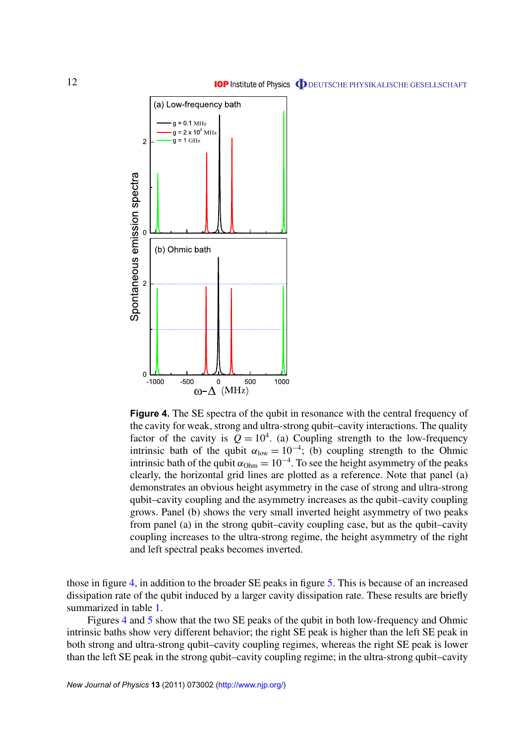<span id="page-11-0"></span>

**Figure 4.** The SE spectra of the qubit in resonance with the central frequency of the cavity for weak, strong and ultra-strong qubit–cavity interactions. The quality factor of the cavity is  $Q = 10^4$ . (a) Coupling strength to the low-frequency intrinsic bath of the qubit  $\alpha_{\text{low}} = 10^{-4}$ ; (b) coupling strength to the Ohmic intrinsic bath of the qubit  $\alpha_{Ohm} = 10^{-4}$ . To see the height asymmetry of the peaks clearly, the horizontal grid lines are plotted as a reference. Note that panel (a) demonstrates an obvious height asymmetry in the case of strong and ultra-strong qubit–cavity coupling and the asymmetry increases as the qubit–cavity coupling grows. Panel (b) shows the very small inverted height asymmetry of two peaks from panel (a) in the strong qubit–cavity coupling case, but as the qubit–cavity coupling increases to the ultra-strong regime, the height asymmetry of the right and left spectral peaks becomes inverted.

those in figure 4, in addition to the broader SE peaks in figure [5.](#page-12-0) This is because of an increased dissipation rate of the qubit induced by a larger cavity dissipation rate. These results are briefly summarized in table [1.](#page-13-0)

Figures 4 and [5](#page-12-0) show that the two SE peaks of the qubit in both low-frequency and Ohmic intrinsic baths show very different behavior; the right SE peak is higher than the left SE peak in both strong and ultra-strong qubit–cavity coupling regimes, whereas the right SE peak is lower than the left SE peak in the strong qubit–cavity coupling regime; in the ultra-strong qubit–cavity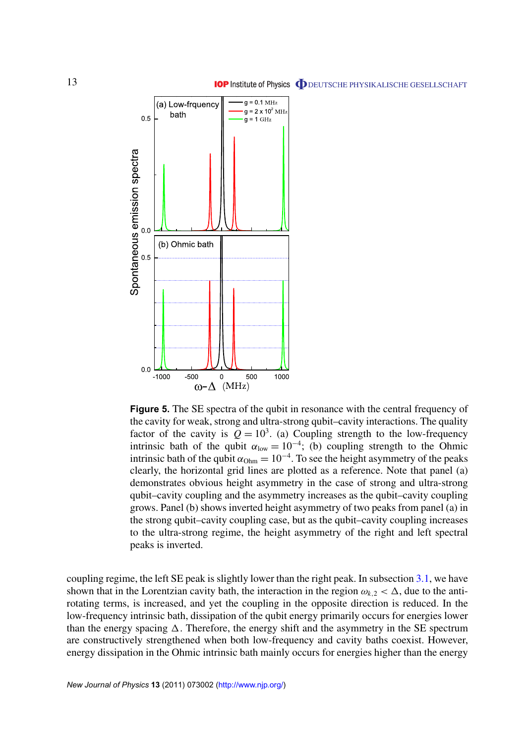#### **IOP** Institute of Physics **ODEUTSCHE PHYSIKALISCHE GESELLSCHAFT**

<span id="page-12-0"></span>

**Figure 5.** The SE spectra of the qubit in resonance with the central frequency of the cavity for weak, strong and ultra-strong qubit–cavity interactions. The quality factor of the cavity is  $Q = 10^3$ . (a) Coupling strength to the low-frequency intrinsic bath of the qubit  $\alpha_{\text{low}} = 10^{-4}$ ; (b) coupling strength to the Ohmic intrinsic bath of the qubit  $\alpha_{Ohm} = 10^{-4}$ . To see the height asymmetry of the peaks clearly, the horizontal grid lines are plotted as a reference. Note that panel (a) demonstrates obvious height asymmetry in the case of strong and ultra-strong qubit–cavity coupling and the asymmetry increases as the qubit–cavity coupling grows. Panel (b) shows inverted height asymmetry of two peaks from panel (a) in the strong qubit–cavity coupling case, but as the qubit–cavity coupling increases to the ultra-strong regime, the height asymmetry of the right and left spectral peaks is inverted.

coupling regime, the left SE peak is slightly lower than the right peak. In subsection [3.1,](#page-8-0) we have shown that in the Lorentzian cavity bath, the interaction in the region  $\omega_{k,2} < \Delta$ , due to the antirotating terms, is increased, and yet the coupling in the opposite direction is reduced. In the low-frequency intrinsic bath, dissipation of the qubit energy primarily occurs for energies lower than the energy spacing  $\Delta$ . Therefore, the energy shift and the asymmetry in the SE spectrum are constructively strengthened when both low-frequency and cavity baths coexist. However, energy dissipation in the Ohmic intrinsic bath mainly occurs for energies higher than the energy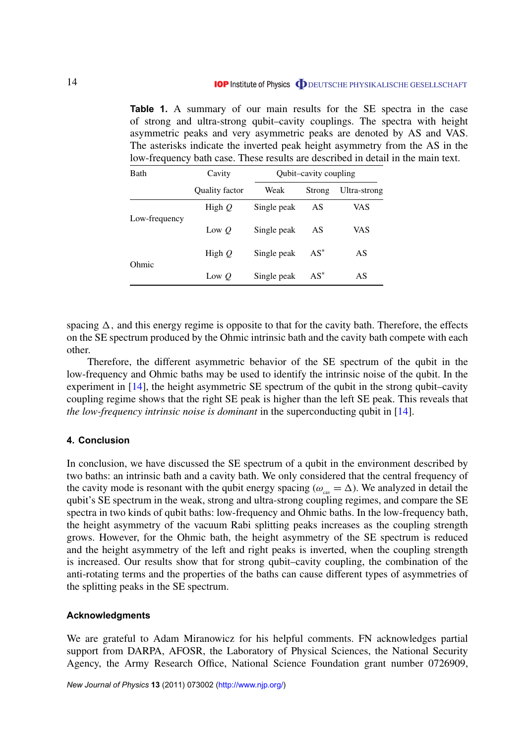<span id="page-13-0"></span>**Table 1.** A summary of our main results for the SE spectra in the case of strong and ultra-strong qubit–cavity couplings. The spectra with height asymmetric peaks and very asymmetric peaks are denoted by AS and VAS. The asterisks indicate the inverted peak height asymmetry from the AS in the low-frequency bath case. These results are described in detail in the main text.

| Bath          | Cavity         | Qubit-cavity coupling |        |              |
|---------------|----------------|-----------------------|--------|--------------|
|               | Quality factor | Weak                  | Strong | Ultra-strong |
| Low-frequency | High $Q$       | Single peak           | AS     | VAS          |
|               | Low $Q$        | Single peak           | AS     | VAS          |
| Ohmic         | High $Q$       | Single peak           | $AS^*$ | AS           |
|               | Low $O$        | Single peak           | $AS^*$ | AS           |

spacing  $\Delta$ , and this energy regime is opposite to that for the cavity bath. Therefore, the effects on the SE spectrum produced by the Ohmic intrinsic bath and the cavity bath compete with each other.

Therefore, the different asymmetric behavior of the SE spectrum of the qubit in the low-frequency and Ohmic baths may be used to identify the intrinsic noise of the qubit. In the experiment in [\[14\]](#page-19-0), the height asymmetric SE spectrum of the qubit in the strong qubit–cavity coupling regime shows that the right SE peak is higher than the left SE peak. This reveals that *the low-frequency intrinsic noise is dominant* in the superconducting qubit in [\[14\]](#page-19-0).

#### **4. Conclusion**

In conclusion, we have discussed the SE spectrum of a qubit in the environment described by two baths: an intrinsic bath and a cavity bath. We only considered that the central frequency of the cavity mode is resonant with the qubit energy spacing ( $\omega_{\text{cav}} = \Delta$ ). We analyzed in detail the qubit's SE spectrum in the weak, strong and ultra-strong coupling regimes, and compare the SE spectra in two kinds of qubit baths: low-frequency and Ohmic baths. In the low-frequency bath, the height asymmetry of the vacuum Rabi splitting peaks increases as the coupling strength grows. However, for the Ohmic bath, the height asymmetry of the SE spectrum is reduced and the height asymmetry of the left and right peaks is inverted, when the coupling strength is increased. Our results show that for strong qubit–cavity coupling, the combination of the anti-rotating terms and the properties of the baths can cause different types of asymmetries of the splitting peaks in the SE spectrum.

#### **Acknowledgments**

We are grateful to Adam Miranowicz for his helpful comments. FN acknowledges partial support from DARPA, AFOSR, the Laboratory of Physical Sciences, the National Security Agency, the Army Research Office, National Science Foundation grant number 0726909,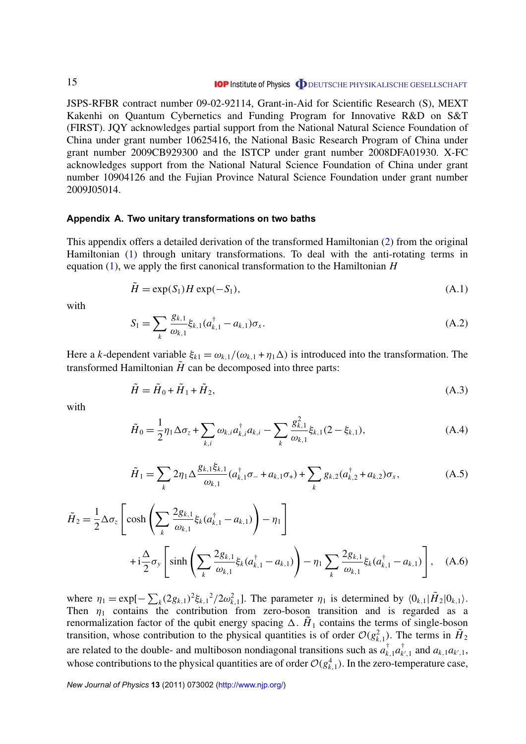<span id="page-14-0"></span>JSPS-RFBR contract number 09-02-92114, Grant-in-Aid for Scientific Research (S), MEXT Kakenhi on Quantum Cybernetics and Funding Program for Innovative R&D on S&T (FIRST). JQY acknowledges partial support from the National Natural Science Foundation of China under grant number 10625416, the National Basic Research Program of China under grant number 2009CB929300 and the ISTCP under grant number 2008DFA01930. X-FC acknowledges support from the National Natural Science Foundation of China under grant number 10904126 and the Fujian Province Natural Science Foundation under grant number 2009J05014.

#### **Appendix A. Two unitary transformations on two baths**

This appendix offers a detailed derivation of the transformed Hamiltonian [\(2\)](#page-4-0) from the original Hamiltonian [\(1\)](#page-3-0) through unitary transformations. To deal with the anti-rotating terms in equation [\(1\)](#page-3-0), we apply the first canonical transformation to the Hamiltonian *H*

$$
\tilde{H} = \exp(S_1)H\exp(-S_1),\tag{A.1}
$$

with

$$
S_1 = \sum_{k} \frac{g_{k,1}}{\omega_{k,1}} \xi_{k,1} (a_{k,1}^{\dagger} - a_{k,1}) \sigma_x.
$$
 (A.2)

Here a *k*-dependent variable  $\xi_{k1} = \omega_{k,1}/(\omega_{k,1} + \eta_1 \Delta)$  is introduced into the transformation. The transformed Hamiltonian  $\tilde{H}$  can be decomposed into three parts:

$$
\tilde{H} = \tilde{H}_0 + \tilde{H}_1 + \tilde{H}_2,\tag{A.3}
$$

with

$$
\tilde{H}_0 = \frac{1}{2} \eta_1 \Delta \sigma_z + \sum_{k,i} \omega_{k,i} a_{k,i}^\dagger a_{k,i} - \sum_k \frac{g_{k,1}^2}{\omega_{k,1}} \xi_{k,1} (2 - \xi_{k,1}),
$$
\n(A.4)

$$
\tilde{H}_1 = \sum_k 2\eta_1 \Delta \frac{g_{k,1} \xi_{k,1}}{\omega_{k,1}} (a_{k,1}^\dagger \sigma_- + a_{k,1} \sigma_+) + \sum_k g_{k,2} (a_{k,2}^\dagger + a_{k,2}) \sigma_x, \tag{A.5}
$$

$$
\tilde{H}_2 = \frac{1}{2} \Delta \sigma_z \left[ \cosh \left( \sum_k \frac{2g_{k,1}}{\omega_{k,1}} \xi_k (a_{k,1}^\dagger - a_{k,1}) \right) - \eta_1 \right] \n+ \mathrm{i} \frac{\Delta}{2} \sigma_y \left[ \sinh \left( \sum_k \frac{2g_{k,1}}{\omega_{k,1}} \xi_k (a_{k,1}^\dagger - a_{k,1}) \right) - \eta_1 \sum_k \frac{2g_{k,1}}{\omega_{k,1}} \xi_k (a_{k,1}^\dagger - a_{k,1}) \right], \quad (A.6)
$$

where  $\eta_1 = \exp[-\sum_k (2g_{k,1})^2 \xi_{k,1}^2 / 2\omega_{k,1}^2]$ . The parameter  $\eta_1$  is determined by  $\langle 0_{k,1} | \tilde{H}_2 | 0_{k,1} \rangle$ . Then  $\eta_1$  contains the contribution from zero-boson transition and is regarded as a renormalization factor of the qubit energy spacing  $\Delta$ .  $H_1$  contains the terms of single-boson transition, whose contribution to the physical quantities is of order  $\mathcal{O}(g_{k,1}^2)$ . The terms in  $\tilde{H}_2$ are related to the double- and multiboson nondiagonal transitions such as  $a_k^{\dagger}$  $\frac{1}{k}$ <sub>k</sub>,1 $a_k^{\dagger}$  $a_{k,1}$  and  $a_{k,1}a_{k',1}$ , whose contributions to the physical quantities are of order  $\mathcal{O}(g_{k,1}^4)$ . In the zero-temperature case,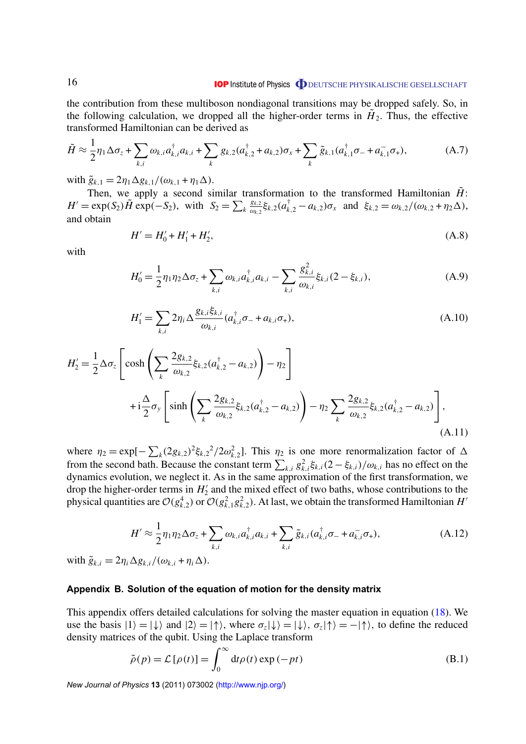#### **IOP** Institute of Physics **ODEUTSCHE PHYSIKALISCHE GESELLSCHAFT**

<span id="page-15-0"></span>the contribution from these multiboson nondiagonal transitions may be dropped safely. So, in the following calculation, we dropped all the higher-order terms in  $H_2$ . Thus, the effective transformed Hamiltonian can be derived as

$$
\tilde{H} \approx \frac{1}{2} \eta_1 \Delta \sigma_z + \sum_{k,i} \omega_{k,i} a_{k,i}^\dagger a_{k,i} + \sum_k g_{k,2} (a_{k,2}^\dagger + a_{k,2}) \sigma_x + \sum_k \tilde{g}_{k,1} (a_{k,1}^\dagger \sigma_- + a_{k,1}^- \sigma_+), \tag{A.7}
$$

with  $\tilde{g}_{k,1} = 2\eta_1 \Delta g_{k,1}/(\omega_{k,1} + \eta_1 \Delta)$ .

Then, we apply a second similar transformation to the transformed Hamiltonian *H*:  $H' = \exp(S_2) \tilde{H} \exp(-S_2)$ , with  $S_2 = \sum_k$ *gk*,<sup>2</sup>  $\frac{g_{k,2}}{\omega_{k,2}} \xi_{k,2} (a_{k,2}^{\dagger} - a_{k,2}) \sigma_x$  and  $\xi_{k,2} = \omega_{k,2} / (\omega_{k,2} + \eta_2 \Delta),$ and obtain

$$
H' = H'_0 + H'_1 + H'_2,\tag{A.8}
$$

with

$$
H'_{0} = \frac{1}{2} \eta_{1} \eta_{2} \Delta \sigma_{z} + \sum_{k,i} \omega_{k,i} a_{k,i}^{\dagger} a_{k,i} - \sum_{k,i} \frac{g_{k,i}^{2}}{\omega_{k,i}} \xi_{k,i} (2 - \xi_{k,i}), \tag{A.9}
$$

$$
H'_{1} = \sum_{k,i} 2\eta_{i} \Delta \frac{g_{k,i} \xi_{k,i}}{\omega_{k,i}} (a_{k,i}^{\dagger} \sigma_{-} + a_{k,i} \sigma_{+}),
$$
 (A.10)

$$
H'_{2} = \frac{1}{2} \Delta \sigma_{z} \left[ \cosh \left( \sum_{k} \frac{2g_{k,2}}{\omega_{k,2}} \xi_{k,2} (a_{k,2}^{\dagger} - a_{k,2}) \right) - \eta_{2} \right]
$$
  
+  $i \frac{\Delta}{2} \sigma_{y} \left[ \sinh \left( \sum_{k} \frac{2g_{k,2}}{\omega_{k,2}} \xi_{k,2} (a_{k,2}^{\dagger} - a_{k,2}) \right) - \eta_{2} \sum_{k} \frac{2g_{k,2}}{\omega_{k,2}} \xi_{k,2} (a_{k,2}^{\dagger} - a_{k,2}) \right],$  (A.11)

where  $\eta_2 = \exp[-\sum_k (2g_{k,2})^2 \xi_{k,2}^2 / 2\omega_{k,2}^2]$ . This  $\eta_2$  is one more renormalization factor of  $\Delta$ from the second bath. Because the constant term  $\sum_{k,i} g_{k,i}^2 \xi_{k,i} (2 - \xi_{k,i})/\omega_{k,i}$  has no effect on the dynamics evolution, we neglect it. As in the same approximation of the first transformation, we drop the higher-order terms in  $H_2'$  $\frac{1}{2}$  and the mixed effect of two baths, whose contributions to the physical quantities are  $\mathcal{O}(g_{k,2}^4)$  or  $\mathcal{O}(g_{k,1}^2 g_{k,2}^2)$ . At last, we obtain the transformed Hamiltonian *H*<sup>1</sup>

$$
H' \approx \frac{1}{2} \eta_1 \eta_2 \Delta \sigma_z + \sum_{k,i} \omega_{k,i} a_{k,i}^\dagger a_{k,i} + \sum_{k,i} \tilde{g}_{k,i} (a_{k,i}^\dagger \sigma_z + a_{k,i}^- \sigma_z), \tag{A.12}
$$

with  $\tilde{g}_{k,i} = 2\eta_i \Delta g_{k,i}/(\omega_{k,i} + \eta_i \Delta)$ .

#### **Appendix B. Solution of the equation of motion for the density matrix**

This appendix offers detailed calculations for solving the master equation in equation [\(18\)](#page-6-0). We use the basis  $|1\rangle = |\downarrow\rangle$  and  $|2\rangle = |\uparrow\rangle$ , where  $\sigma_z |\downarrow\rangle = |\downarrow\rangle$ ,  $\sigma_z |\uparrow\rangle = -|\uparrow\rangle$ , to define the reduced density matrices of the qubit. Using the Laplace transform

$$
\tilde{\rho}(p) = \mathcal{L}[\rho(t)] = \int_0^\infty dt \rho(t) \exp(-pt)
$$
\n(B.1)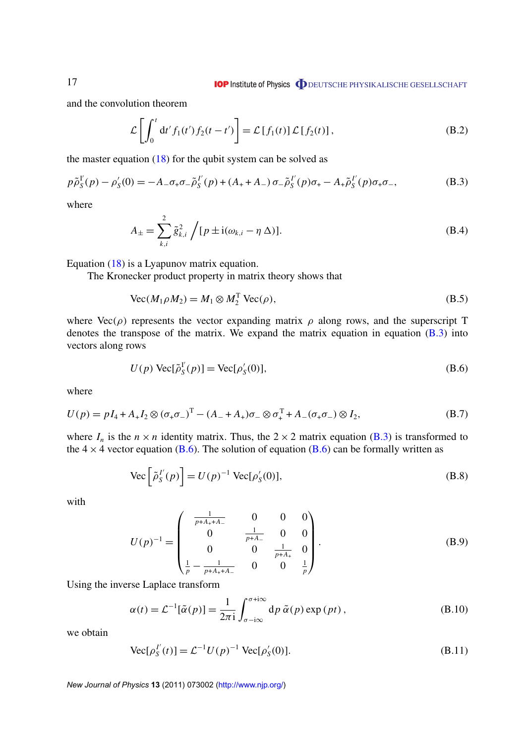<span id="page-16-0"></span>and the convolution theorem

$$
\mathcal{L}\left[\int_0^t dt' f_1(t') f_2(t-t')\right] = \mathcal{L}\left[f_1(t)\right] \mathcal{L}\left[f_2(t)\right],\tag{B.2}
$$

the master equation  $(18)$  for the qubit system can be solved as

$$
p\tilde{\rho}_S^{I'}(p) - \rho_S'(0) = -A_-\sigma_+\sigma_-\tilde{\rho}_S^{I'}(p) + (A_+ + A_-)\sigma_-\tilde{\rho}_S^{I'}(p)\sigma_+ - A_+\tilde{\rho}_S^{I'}(p)\sigma_+\sigma_-, \tag{B.3}
$$

where

$$
A_{\pm} = \sum_{k,i}^{2} \tilde{g}_{k,i}^{2} / [p \pm i(\omega_{k,i} - \eta \Delta)].
$$
 (B.4)

Equation [\(18\)](#page-6-0) is a Lyapunov matrix equation.

The Kronecker product property in matrix theory shows that

$$
Vec(M_1\rho M_2) = M_1 \otimes M_2^{\mathrm{T}} \operatorname{Vec}(\rho), \tag{B.5}
$$

where Vec( $\rho$ ) represents the vector expanding matrix  $\rho$  along rows, and the superscript T denotes the transpose of the matrix. We expand the matrix equation in equation  $(B.3)$  into vectors along rows

$$
U(p) \operatorname{Vec}[\tilde{\rho}_S^{\mathrm{I}'}(p)] = \operatorname{Vec}[\rho_S'(0)],\tag{B.6}
$$

where

$$
U(p) = pI_4 + A_1 I_2 \otimes (\sigma_+ \sigma_-)^T - (A_- + A_+) \sigma_- \otimes \sigma_+^T + A_-(\sigma_+ \sigma_-) \otimes I_2,
$$
\n(B.7)

where  $I_n$  is the  $n \times n$  identity matrix. Thus, the  $2 \times 2$  matrix equation (B.3) is transformed to the  $4 \times 4$  vector equation (B.6). The solution of equation (B.6) can be formally written as

$$
\text{Vec}\left[\tilde{\rho}_S^{I'}(p)\right] = U(p)^{-1}\text{Vec}[\rho_S'(0)],\tag{B.8}
$$

with

$$
U(p)^{-1} = \begin{pmatrix} \frac{1}{p+A_+ + A_-} & 0 & 0 & 0\\ 0 & \frac{1}{p+A_-} & 0 & 0\\ 0 & 0 & \frac{1}{p+A_+} & 0\\ \frac{1}{p} - \frac{1}{p+A_+ + A_-} & 0 & 0 & \frac{1}{p} \end{pmatrix}.
$$
 (B.9)

Using the inverse Laplace transform

$$
\alpha(t) = \mathcal{L}^{-1}[\tilde{\alpha}(p)] = \frac{1}{2\pi i} \int_{\sigma - i\infty}^{\sigma + i\infty} dp \, \tilde{\alpha}(p) \exp(pt), \qquad (B.10)
$$

we obtain

$$
\text{Vec}[\rho_S^{I'}(t)] = \mathcal{L}^{-1} U(p)^{-1} \text{Vec}[\rho_S'(0)].
$$
\n(B.11)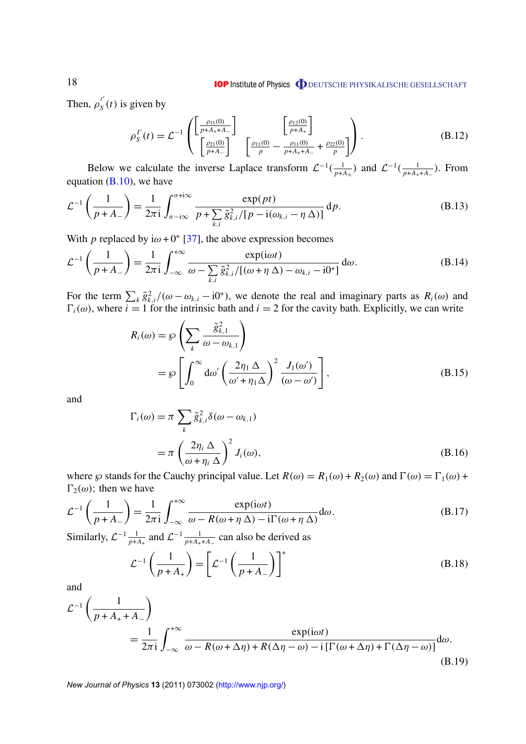#### **IOP Institute of Physics ODEUTSCHE PHYSIKALISCHE GESELLSCHAFT**

Then,  $\rho_S^{I'}$  $S<sub>S</sub><sup>T</sup>$  (*t*) is given by

$$
\rho_S^{I'}(t) = \mathcal{L}^{-1} \left( \begin{bmatrix} \frac{\rho_{11}(0)}{p+A_++A_-} \\ \frac{\rho_{21}(0)}{p+A_-} \end{bmatrix} \begin{bmatrix} \frac{\rho_{12}(0)}{p+A_+} \\ \frac{\rho_{11}(0)}{p} - \frac{\rho_{11}(0)}{p+A_++A_-} + \frac{\rho_{22}(0)}{p} \end{bmatrix} \right).
$$
(B.12)

Below we calculate the inverse Laplace transform  $\mathcal{L}^{-1}(\frac{1}{n+1})$  $\frac{1}{p+A_{\pm}}$ ) and  $\mathcal{L}^{-1}(\frac{1}{p+A_{\pm}})$ *p*+*A*++*A*<sup>−</sup> ). From equation  $(B.10)$ , we have

$$
\mathcal{L}^{-1}\left(\frac{1}{p+A_{-}}\right) = \frac{1}{2\pi i} \int_{\sigma - i\infty}^{\sigma + i\infty} \frac{\exp(pt)}{p + \sum_{k,i} \tilde{g}_{k,i}^{2}/[p - i(\omega_{k,i} - \eta \Delta)]} \, \mathrm{d}p. \tag{B.13}
$$

With *p* replaced by  $i\omega + 0^+$  [\[37\]](#page-20-0), the above expression becomes

$$
\mathcal{L}^{-1}\left(\frac{1}{p+A_{-}}\right) = \frac{1}{2\pi i} \int_{-\infty}^{+\infty} \frac{\exp(i\omega t)}{\omega - \sum_{k,i} \tilde{g}_{k,i}^{2} / [( \omega + \eta \Delta ) - \omega_{k,i} - i0^{+} ]} d\omega.
$$
 (B.14)

For the term  $\sum_k \tilde{g}_{k,i}^2/(\omega - \omega_{k,i} - i0^+)$ , we denote the real and imaginary parts as  $R_i(\omega)$  and  $\Gamma_i(\omega)$ , where  $i = 1$  for the intrinsic bath and  $i = 2$  for the cavity bath. Explicitly, we can write

$$
R_i(\omega) = \wp \left( \sum_k \frac{\tilde{g}_{k,1}^2}{\omega - \omega_{k,1}} \right)
$$
  
= 
$$
\wp \left[ \int_0^\infty d\omega' \left( \frac{2\eta_1 \Delta}{\omega' + \eta_1 \Delta} \right)^2 \frac{J_1(\omega')}{(\omega - \omega')} \right],
$$
 (B.15)

and

$$
\Gamma_i(\omega) = \pi \sum_k \tilde{g}_{k,i}^2 \delta(\omega - \omega_{k,1})
$$
  
=  $\pi \left(\frac{2\eta_i \Delta}{\omega + \eta_i \Delta}\right)^2 J_i(\omega),$  (B.16)

where  $\wp$  stands for the Cauchy principal value. Let  $R(\omega) = R_1(\omega) + R_2(\omega)$  and  $\Gamma(\omega) = \Gamma_1(\omega) +$  $\Gamma_2(\omega)$ ; then we have

$$
\mathcal{L}^{-1}\left(\frac{1}{p+A_{-}}\right) = \frac{1}{2\pi i} \int_{-\infty}^{+\infty} \frac{\exp(i\omega t)}{\omega - R(\omega + \eta \Delta) - i\Gamma(\omega + \eta \Delta)} d\omega.
$$
 (B.17)

Similarly,  $\mathcal{L}^{-1} \frac{1}{n+1}$  $\frac{1}{p+A_{+}}$  and  $\mathcal{L}^{-1} \frac{1}{p+A_{+}}$  $\frac{1}{p+A_++A_-}$  can also be derived as

$$
\mathcal{L}^{-1}\left(\frac{1}{p+A_{+}}\right) = \left[\mathcal{L}^{-1}\left(\frac{1}{p+A_{-}}\right)\right]^{*}
$$
\n(B.18)

and

$$
\mathcal{L}^{-1}\left(\frac{1}{p+A_{+}+A_{-}}\right)
$$
  
=  $\frac{1}{2\pi i}\int_{-\infty}^{+\infty} \frac{\exp(i\omega t)}{\omega - R(\omega+\Delta\eta) + R(\Delta\eta-\omega) - i\left[\Gamma(\omega+\Delta\eta) + \Gamma(\Delta\eta-\omega)\right]}d\omega.$  (B.19)

*New Journal of Physics* **13** (2011) 073002 [\(http://www.njp.org/\)](http://www.njp.org/)

<span id="page-17-0"></span>18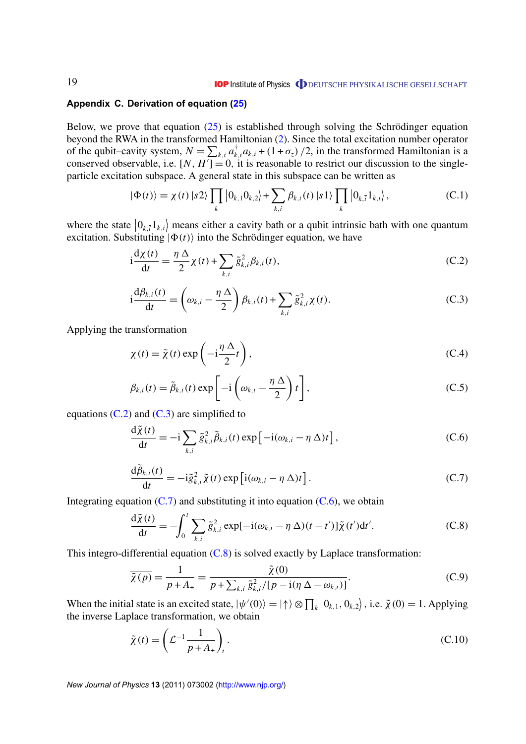#### <span id="page-18-0"></span>**Appendix C. Derivation of equation [\(25\)](#page-7-0)**

Below, we prove that equation [\(25\)](#page-7-0) is established through solving the Schrödinger equation beyond the RWA in the transformed Hamiltonian [\(2\)](#page-4-0). Since the total excitation number operator of the qubit–cavity system,  $N = \sum_{k,i} a_k^{\dagger}$  $\int_{k,i}^{T} a_{k,i} + (1 + \sigma_z) / 2$ , in the transformed Hamiltonian is a conserved observable, i.e.  $[N, H^{\prime}] = 0$ , it is reasonable to restrict our discussion to the singleparticle excitation subspace. A general state in this subspace can be written as

$$
|\Phi(t)\rangle = \chi(t) \, |s2\rangle \prod_{k} |0_{k,1} 0_{k,2}\rangle + \sum_{k,i} \beta_{k,i}(t) \, |s1\rangle \prod_{k} |0_{k,\bar{i}} 1_{k,i}\rangle, \tag{C.1}
$$

where the state  $\left\{0_{k,\bar{i}}1_{k,i}\right\}$  means either a cavity bath or a qubit intrinsic bath with one quantum excitation. Substituting  $|\Phi(t)\rangle$  into the Schrödinger equation, we have

$$
i\frac{d\chi(t)}{dt} = \frac{\eta \Delta}{2} \chi(t) + \sum_{k,i} \tilde{g}_{k,i}^2 \beta_{k,i}(t),
$$
 (C.2)

$$
i\frac{d\beta_{k,i}(t)}{dt} = \left(\omega_{k,i} - \frac{\eta \Delta}{2}\right)\beta_{k,i}(t) + \sum_{k,i} \tilde{g}_{k,i}^2 \chi(t).
$$
 (C.3)

Applying the transformation

$$
\chi(t) = \tilde{\chi}(t) \exp\left(-i\frac{\eta \Delta}{2}t\right),\tag{C.4}
$$

$$
\beta_{k,i}(t) = \tilde{\beta}_{k,i}(t) \exp\left[-i\left(\omega_{k,i} - \frac{\eta \Delta}{2}\right)t\right],
$$
\n(C.5)

equations  $(C.2)$  and  $(C.3)$  are simplified to

$$
\frac{\mathrm{d}\tilde{\chi}(t)}{\mathrm{d}t} = -\mathrm{i}\sum_{k,i}\tilde{g}_{k,i}^2\tilde{\beta}_{k,i}(t)\exp\left[-\mathrm{i}(\omega_{k,i}-\eta\,\Delta)t\right],\tag{C.6}
$$

$$
\frac{\mathrm{d}\tilde{\beta}_{k,i}(t)}{\mathrm{d}t} = -\mathrm{i}\tilde{g}_{k,i}^2 \tilde{\chi}(t) \exp\left[\mathrm{i}(\omega_{k,i} - \eta \Delta)t\right]. \tag{C.7}
$$

Integrating equation  $(C.7)$  and substituting it into equation  $(C.6)$ , we obtain

$$
\frac{d\tilde{\chi}(t)}{dt} = -\int_0^t \sum_{k,i} \tilde{g}_{k,i}^2 \exp[-i(\omega_{k,i} - \eta \Delta)(t - t')] \tilde{\chi}(t') dt'.
$$
 (C.8)

This integro-differential equation (C.8) is solved exactly by Laplace transformation:

$$
\overline{\tilde{\chi}(p)} = \frac{1}{p + A_{+}} = \frac{\tilde{\chi}(0)}{p + \sum_{k,i} \tilde{g}_{k,i}^{2} / [p - i(\eta \Delta - \omega_{k,i})]}.
$$
(C.9)

When the initial state is an excited state,  $|\psi'(0)\rangle = |\uparrow\rangle \otimes \prod_k |0_{k,1}, 0_{k,2}\rangle$ , i.e.  $\tilde{\chi}(0) = 1$ . Applying the inverse Laplace transformation, we obtain

$$
\tilde{\chi}(t) = \left(\mathcal{L}^{-1} \frac{1}{p + A_{+}}\right)_{t}.
$$
\n(C.10)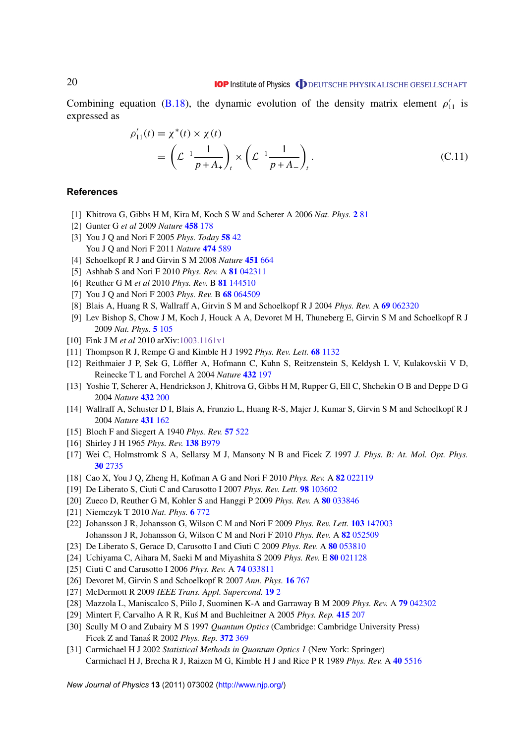<span id="page-19-0"></span>Combining equation [\(B.18\)](#page-17-0), the dynamic evolution of the density matrix element  $\rho'_{11}$  is expressed as

$$
\rho'_{11}(t) = \chi^*(t) \times \chi(t) \n= \left( \mathcal{L}^{-1} \frac{1}{p + A_+} \right)_t \times \left( \mathcal{L}^{-1} \frac{1}{p + A_-} \right)_t.
$$
\n(C.11)

#### **References**

- [1] Khitrova G, Gibbs H M, Kira M, Koch S W and Scherer A 2006 *Nat. Phys.* **2** [81](http://dx.doi.org/10.1038/nphys227)
- [2] Gunter G *et al* 2009 *Nature* **[458](http://dx.doi.org/10.1038/nature07838)** 178
- [3] You J Q and Nori F 2005 *Phys. Today* **58** [42](http://dx.doi.org/10.1063/1.2155757) You J Q and Nori F 2011 *Nature* **474** [589](http://dx.doi.org/10.1038/nature10122)
- [4] Schoelkopf R J and Girvin S M 2008 *Nature* **[451](http://dx.doi.org/10.1038/451664a)** 664
- [5] Ashhab S and Nori F 2010 *Phys. Rev.* A **81** [042311](http://dx.doi.org/10.1103/PhysRevA.81.042311)
- [6] Reuther G M *et al* 2010 *Phys. Rev.* B **81** [144510](http://dx.doi.org/10.1103/PhysRevB.81.144510)
- [7] You J Q and Nori F 2003 *Phys. Rev.* B **68** [064509](http://dx.doi.org/10.1103/PhysRevB.68.064509)
- [8] Blais A, Huang R S, Wallraff A, Girvin S M and Schoelkopf R J 2004 *Phys. Rev.* A **69** [062320](http://dx.doi.org/10.1103/PhysRevA.69.062320)
- [9] Lev Bishop S, Chow J M, Koch J, Houck A A, Devoret M H, Thuneberg E, Girvin S M and Schoelkopf R J 2009 *Nat. Phys.* **5** [105](http://dx.doi.org/10.1038/nphys1154)
- [10] Fink J M *et al* 2010 arXiv[:1003.1161v1](http://arxiv.org/abs/1003.1161v1)
- [11] Thompson R J, Rempe G and Kimble H J 1992 *Phys. Rev. Lett.* **68** [1132](http://dx.doi.org/10.1103/PhysRevLett.68.1132)
- [12] Reithmaier J P, Sek G, Löffler A, Hofmann C, Kuhn S, Reitzenstein S, Keldysh L V, Kulakovskii V D, Reinecke T L and Forchel A 2004 *Nature* **[432](http://dx.doi.org/10.1038/nature02969)** 197
- [13] Yoshie T, Scherer A, Hendrickson J, Khitrova G, Gibbs H M, Rupper G, Ell C, Shchekin O B and Deppe D G 2004 *Nature* **[432](http://dx.doi.org/10.1038/nature03119)** 200
- [14] Wallraff A, Schuster D I, Blais A, Frunzio L, Huang R-S, Majer J, Kumar S, Girvin S M and Schoelkopf R J 2004 *Nature* **[431](http://dx.doi.org/10.1038/nature02851)** 162
- [15] Bloch F and Siegert A 1940 *Phys. Rev.* **57** [522](http://dx.doi.org/10.1103/PhysRev.57.522)
- [16] Shirley J H 1965 *Phys. Rev.* **138** [B979](http://dx.doi.org/10.1103/PhysRev.138.B979)
- [17] Wei C, Holmstromk S A, Sellarsy M J, Mansony N B and Ficek Z 1997 *J. Phys. B: At. Mol. Opt. Phys.* **30** [2735](http://dx.doi.org/10.1088/0953-4075/30/11/022)
- [18] Cao X, You J Q, Zheng H, Kofman A G and Nori F 2010 *Phys. Rev.* A **82** [022119](http://dx.doi.org/10.1103/PhysRevA.82.022119)
- [19] De Liberato S, Ciuti C and Carusotto I 2007 *Phys. Rev. Lett.* **98** [103602](http://dx.doi.org/10.1103/PhysRevLett.98.103602)
- [20] Zueco D, Reuther G M, Kohler S and Hanggi P 2009 *Phys. Rev.* A **80** [033846](http://dx.doi.org/10.1103/PhysRevA.80.033846)
- [21] Niemczyk T 2010 *Nat. Phys.* **6** [772](http://dx.doi.org/10.1038/nphys1730)
- [22] Johansson J R, Johansson G, Wilson C M and Nori F 2009 *Phys. Rev. Lett.* **103** [147003](http://dx.doi.org/10.1103/PhysRevLett.103.147003) Johansson J R, Johansson G, Wilson C M and Nori F 2010 *Phys. Rev.* A **82** [052509](http://dx.doi.org/10.1103/PhysRevA.82.052509)
- [23] De Liberato S, Gerace D, Carusotto I and Ciuti C 2009 *Phys. Rev.* A **80** [053810](http://dx.doi.org/10.1103/PhysRevA.80.053810)
- [24] Uchiyama C, Aihara M, Saeki M and Miyashita S 2009 *Phys. Rev.* E **80** [021128](http://dx.doi.org/10.1103/PhysRevE.80.021128)
- [25] Ciuti C and Carusotto I 2006 *Phys. Rev.* A **74** [033811](http://dx.doi.org/10.1103/PhysRevA.74.033811)
- [26] Devoret M, Girvin S and Schoelkopf R 2007 *Ann. Phys.* **16** [767](http://dx.doi.org/10.1002/(ISSN)1521-3889)
- [27] McDermott R 2009 *IEEE Trans. Appl. Supercond.* **[19](http://dx.doi.org/10.1109/TASC.2008.2012255)** 2
- [28] Mazzola L, Maniscalco S, Piilo J, Suominen K-A and Garraway B M 2009 *Phys. Rev.* A **79** [042302](http://dx.doi.org/10.1103/PhysRevA.79.042302)
- [29] Mintert F, Carvalho A R R, Kus M and Buchleitner A 2005 *Phys. Rep.* 415 [207](http://dx.doi.org/10.1016/j.physrep.2005.04.006)
- [30] Scully M O and Zubairy M S 1997 *Quantum Optics* (Cambridge: Cambridge University Press) Ficek Z and Tanas R 2002 *Phys. Rep.* [372](http://dx.doi.org/10.1016/S0370-1573(02)00368-X) 369
- [31] Carmichael H J 2002 *Statistical Methods in Quantum Optics 1* (New York: Springer) Carmichael H J, Brecha R J, Raizen M G, Kimble H J and Rice P R 1989 *Phys. Rev.* A **40** [5516](http://dx.doi.org/10.1103/PhysRevA.40.5516)